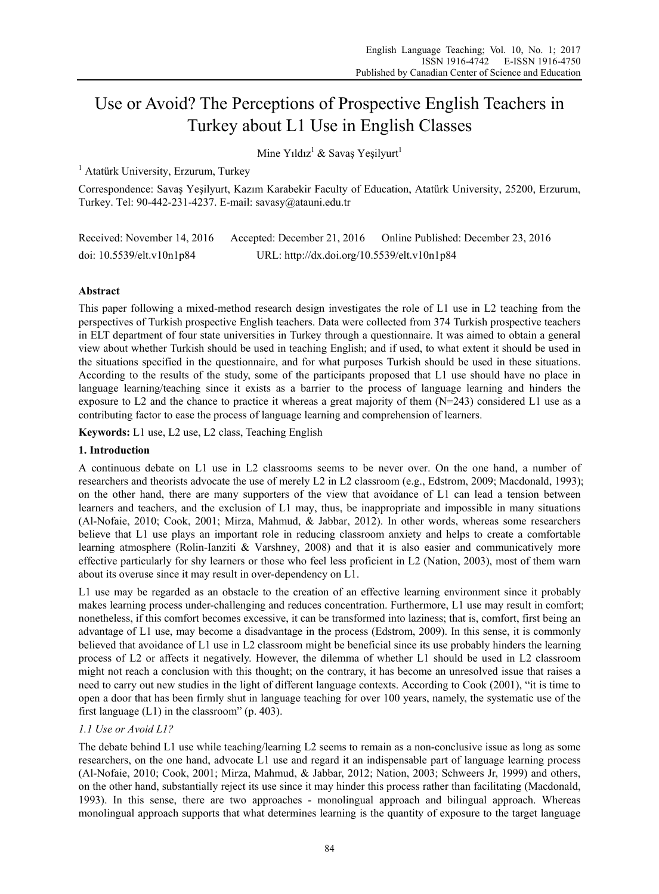# Use or Avoid? The Perceptions of Prospective English Teachers in Turkey about L1 Use in English Classes

Mine Yıldız<sup>1</sup> & Savaş Yeşilyurt<sup>1</sup>

<sup>1</sup> Atatürk University, Erzurum, Turkey

Correspondence: Savaş Yeşilyurt, Kazım Karabekir Faculty of Education, Atatürk University, 25200, Erzurum, Turkey. Tel: 90-442-231-4237. E-mail: savasy@atauni.edu.tr

| Received: November 14, 2016     | Accepted: December 21, 2016                 | Online Published: December 23, 2016 |
|---------------------------------|---------------------------------------------|-------------------------------------|
| doi: $10.5539$ /elt.v $10n1p84$ | URL: http://dx.doi.org/10.5539/elt.v10n1p84 |                                     |

# **Abstract**

This paper following a mixed-method research design investigates the role of L1 use in L2 teaching from the perspectives of Turkish prospective English teachers. Data were collected from 374 Turkish prospective teachers in ELT department of four state universities in Turkey through a questionnaire. It was aimed to obtain a general view about whether Turkish should be used in teaching English; and if used, to what extent it should be used in the situations specified in the questionnaire, and for what purposes Turkish should be used in these situations. According to the results of the study, some of the participants proposed that L1 use should have no place in language learning/teaching since it exists as a barrier to the process of language learning and hinders the exposure to L2 and the chance to practice it whereas a great majority of them (N=243) considered L1 use as a contributing factor to ease the process of language learning and comprehension of learners.

**Keywords:** L1 use, L2 use, L2 class, Teaching English

## **1. Introduction**

A continuous debate on L1 use in L2 classrooms seems to be never over. On the one hand, a number of researchers and theorists advocate the use of merely L2 in L2 classroom (e.g., Edstrom, 2009; Macdonald, 1993); on the other hand, there are many supporters of the view that avoidance of L1 can lead a tension between learners and teachers, and the exclusion of L1 may, thus, be inappropriate and impossible in many situations (Al-Nofaie, 2010; Cook, 2001; Mirza, Mahmud, & Jabbar, 2012). In other words, whereas some researchers believe that L1 use plays an important role in reducing classroom anxiety and helps to create a comfortable learning atmosphere (Rolin-Ianziti & Varshney, 2008) and that it is also easier and communicatively more effective particularly for shy learners or those who feel less proficient in L2 (Nation, 2003), most of them warn about its overuse since it may result in over-dependency on L1.

L1 use may be regarded as an obstacle to the creation of an effective learning environment since it probably makes learning process under-challenging and reduces concentration. Furthermore, L1 use may result in comfort; nonetheless, if this comfort becomes excessive, it can be transformed into laziness; that is, comfort, first being an advantage of L1 use, may become a disadvantage in the process (Edstrom, 2009). In this sense, it is commonly believed that avoidance of L1 use in L2 classroom might be beneficial since its use probably hinders the learning process of L2 or affects it negatively. However, the dilemma of whether L1 should be used in L2 classroom might not reach a conclusion with this thought; on the contrary, it has become an unresolved issue that raises a need to carry out new studies in the light of different language contexts. According to Cook (2001), "it is time to open a door that has been firmly shut in language teaching for over 100 years, namely, the systematic use of the first language (L1) in the classroom" (p. 403).

# *1.1 Use or Avoid L1?*

The debate behind L1 use while teaching/learning L2 seems to remain as a non-conclusive issue as long as some researchers, on the one hand, advocate L1 use and regard it an indispensable part of language learning process (Al-Nofaie, 2010; Cook, 2001; Mirza, Mahmud, & Jabbar, 2012; Nation, 2003; Schweers Jr, 1999) and others, on the other hand, substantially reject its use since it may hinder this process rather than facilitating (Macdonald, 1993). In this sense, there are two approaches - monolingual approach and bilingual approach. Whereas monolingual approach supports that what determines learning is the quantity of exposure to the target language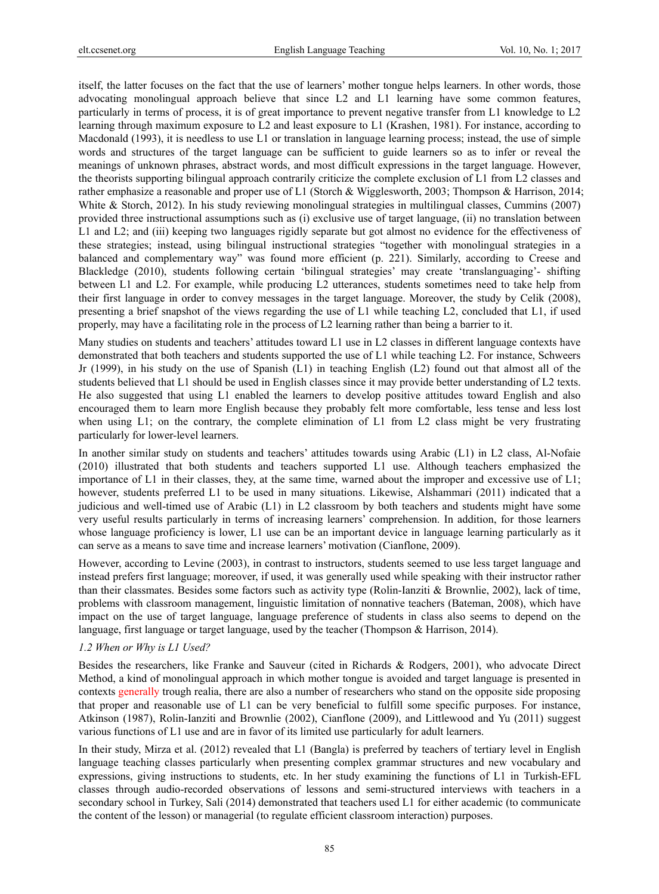itself, the latter focuses on the fact that the use of learners' mother tongue helps learners. In other words, those advocating monolingual approach believe that since L2 and L1 learning have some common features, particularly in terms of process, it is of great importance to prevent negative transfer from L1 knowledge to L2 learning through maximum exposure to L2 and least exposure to L1 (Krashen, 1981). For instance, according to Macdonald (1993), it is needless to use L1 or translation in language learning process; instead, the use of simple words and structures of the target language can be sufficient to guide learners so as to infer or reveal the meanings of unknown phrases, abstract words, and most difficult expressions in the target language. However, the theorists supporting bilingual approach contrarily criticize the complete exclusion of L1 from L2 classes and rather emphasize a reasonable and proper use of L1 (Storch & Wigglesworth, 2003; Thompson & Harrison, 2014; White & Storch, 2012). In his study reviewing monolingual strategies in multilingual classes, Cummins (2007) provided three instructional assumptions such as (i) exclusive use of target language, (ii) no translation between L1 and L2; and (iii) keeping two languages rigidly separate but got almost no evidence for the effectiveness of these strategies; instead, using bilingual instructional strategies "together with monolingual strategies in a balanced and complementary way" was found more efficient (p. 221). Similarly, according to Creese and Blackledge (2010), students following certain 'bilingual strategies' may create 'translanguaging'- shifting between L1 and L2. For example, while producing L2 utterances, students sometimes need to take help from their first language in order to convey messages in the target language. Moreover, the study by Celik (2008), presenting a brief snapshot of the views regarding the use of L1 while teaching L2, concluded that L1, if used properly, may have a facilitating role in the process of L2 learning rather than being a barrier to it.

Many studies on students and teachers' attitudes toward L1 use in L2 classes in different language contexts have demonstrated that both teachers and students supported the use of L1 while teaching L2. For instance, Schweers Jr (1999), in his study on the use of Spanish (L1) in teaching English (L2) found out that almost all of the students believed that L1 should be used in English classes since it may provide better understanding of L2 texts. He also suggested that using L1 enabled the learners to develop positive attitudes toward English and also encouraged them to learn more English because they probably felt more comfortable, less tense and less lost when using L1; on the contrary, the complete elimination of L1 from L2 class might be very frustrating particularly for lower-level learners.

In another similar study on students and teachers' attitudes towards using Arabic (L1) in L2 class, Al-Nofaie (2010) illustrated that both students and teachers supported L1 use. Although teachers emphasized the importance of L1 in their classes, they, at the same time, warned about the improper and excessive use of L1; however, students preferred L1 to be used in many situations. Likewise, Alshammari (2011) indicated that a judicious and well-timed use of Arabic (L1) in L2 classroom by both teachers and students might have some very useful results particularly in terms of increasing learners' comprehension. In addition, for those learners whose language proficiency is lower, L1 use can be an important device in language learning particularly as it can serve as a means to save time and increase learners' motivation (Cianflone, 2009).

However, according to Levine (2003), in contrast to instructors, students seemed to use less target language and instead prefers first language; moreover, if used, it was generally used while speaking with their instructor rather than their classmates. Besides some factors such as activity type (Rolin-Ianziti & Brownlie, 2002), lack of time, problems with classroom management, linguistic limitation of nonnative teachers (Bateman, 2008), which have impact on the use of target language, language preference of students in class also seems to depend on the language, first language or target language, used by the teacher (Thompson & Harrison, 2014).

## *1.2 When or Why is L1 Used?*

Besides the researchers, like Franke and Sauveur (cited in Richards & Rodgers, 2001), who advocate Direct Method, a kind of monolingual approach in which mother tongue is avoided and target language is presented in contexts generally trough realia, there are also a number of researchers who stand on the opposite side proposing that proper and reasonable use of L1 can be very beneficial to fulfill some specific purposes. For instance, Atkinson (1987), Rolin-Ianziti and Brownlie (2002), Cianflone (2009), and Littlewood and Yu (2011) suggest various functions of L1 use and are in favor of its limited use particularly for adult learners.

In their study, Mirza et al. (2012) revealed that L1 (Bangla) is preferred by teachers of tertiary level in English language teaching classes particularly when presenting complex grammar structures and new vocabulary and expressions, giving instructions to students, etc. In her study examining the functions of L1 in Turkish-EFL classes through audio-recorded observations of lessons and semi-structured interviews with teachers in a secondary school in Turkey, Sali (2014) demonstrated that teachers used L1 for either academic (to communicate the content of the lesson) or managerial (to regulate efficient classroom interaction) purposes.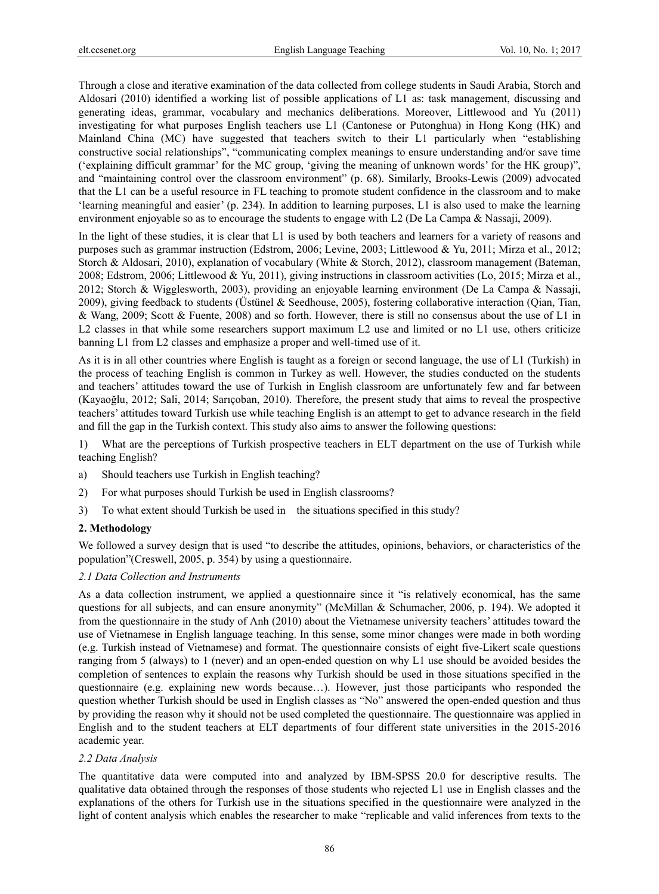Through a close and iterative examination of the data collected from college students in Saudi Arabia, Storch and Aldosari (2010) identified a working list of possible applications of L1 as: task management, discussing and generating ideas, grammar, vocabulary and mechanics deliberations. Moreover, Littlewood and Yu (2011) investigating for what purposes English teachers use L1 (Cantonese or Putonghua) in Hong Kong (HK) and Mainland China (MC) have suggested that teachers switch to their L1 particularly when "establishing constructive social relationships", "communicating complex meanings to ensure understanding and/or save time ('explaining difficult grammar' for the MC group, 'giving the meaning of unknown words' for the HK group)", and "maintaining control over the classroom environment" (p. 68). Similarly, Brooks-Lewis (2009) advocated that the L1 can be a useful resource in FL teaching to promote student confidence in the classroom and to make 'learning meaningful and easier' (p. 234). In addition to learning purposes, L1 is also used to make the learning environment enjoyable so as to encourage the students to engage with L2 (De La Campa & Nassaji, 2009).

In the light of these studies, it is clear that L1 is used by both teachers and learners for a variety of reasons and purposes such as grammar instruction (Edstrom, 2006; Levine, 2003; Littlewood & Yu, 2011; Mirza et al., 2012; Storch & Aldosari, 2010), explanation of vocabulary (White & Storch, 2012), classroom management (Bateman, 2008; Edstrom, 2006; Littlewood & Yu, 2011), giving instructions in classroom activities (Lo, 2015; Mirza et al., 2012; Storch & Wigglesworth, 2003), providing an enjoyable learning environment (De La Campa & Nassaji, 2009), giving feedback to students (Üstünel & Seedhouse, 2005), fostering collaborative interaction (Qian, Tian, & Wang, 2009; Scott & Fuente, 2008) and so forth. However, there is still no consensus about the use of L1 in L2 classes in that while some researchers support maximum L2 use and limited or no L1 use, others criticize banning L1 from L2 classes and emphasize a proper and well-timed use of it.

As it is in all other countries where English is taught as a foreign or second language, the use of L1 (Turkish) in the process of teaching English is common in Turkey as well. However, the studies conducted on the students and teachers' attitudes toward the use of Turkish in English classroom are unfortunately few and far between (Kayaoğlu, 2012; Sali, 2014; Sarıçoban, 2010). Therefore, the present study that aims to reveal the prospective teachers' attitudes toward Turkish use while teaching English is an attempt to get to advance research in the field and fill the gap in the Turkish context. This study also aims to answer the following questions:

1) What are the perceptions of Turkish prospective teachers in ELT department on the use of Turkish while teaching English?

- a) Should teachers use Turkish in English teaching?
- 2) For what purposes should Turkish be used in English classrooms?
- 3) To what extent should Turkish be used in the situations specified in this study?

# **2. Methodology**

We followed a survey design that is used "to describe the attitudes, opinions, behaviors, or characteristics of the population"(Creswell, 2005, p. 354) by using a questionnaire.

## *2.1 Data Collection and Instruments*

As a data collection instrument, we applied a questionnaire since it "is relatively economical, has the same questions for all subjects, and can ensure anonymity" (McMillan & Schumacher, 2006, p. 194). We adopted it from the questionnaire in the study of Anh (2010) about the Vietnamese university teachers' attitudes toward the use of Vietnamese in English language teaching. In this sense, some minor changes were made in both wording (e.g. Turkish instead of Vietnamese) and format. The questionnaire consists of eight five-Likert scale questions ranging from 5 (always) to 1 (never) and an open-ended question on why L1 use should be avoided besides the completion of sentences to explain the reasons why Turkish should be used in those situations specified in the questionnaire (e.g. explaining new words because…). However, just those participants who responded the question whether Turkish should be used in English classes as "No" answered the open-ended question and thus by providing the reason why it should not be used completed the questionnaire. The questionnaire was applied in English and to the student teachers at ELT departments of four different state universities in the 2015-2016 academic year.

## *2.2 Data Analysis*

The quantitative data were computed into and analyzed by IBM-SPSS 20.0 for descriptive results. The qualitative data obtained through the responses of those students who rejected L1 use in English classes and the explanations of the others for Turkish use in the situations specified in the questionnaire were analyzed in the light of content analysis which enables the researcher to make "replicable and valid inferences from texts to the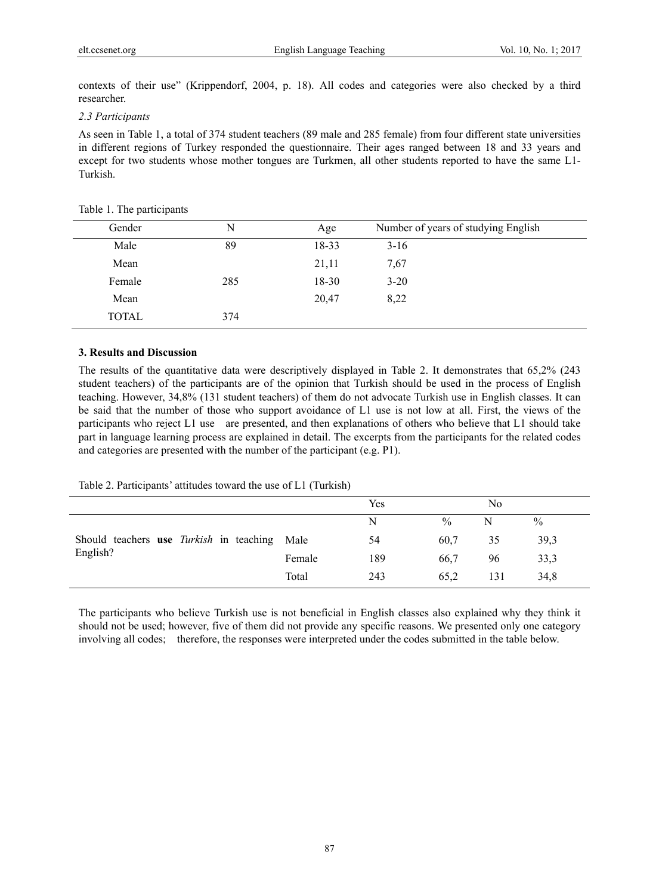contexts of their use" (Krippendorf, 2004, p. 18). All codes and categories were also checked by a third researcher.

## *2.3 Participants*

As seen in Table 1, a total of 374 student teachers (89 male and 285 female) from four different state universities in different regions of Turkey responded the questionnaire. Their ages ranged between 18 and 33 years and except for two students whose mother tongues are Turkmen, all other students reported to have the same L1- Turkish.

| Gender       | N   | Age       | Number of years of studying English |
|--------------|-----|-----------|-------------------------------------|
| Male         | 89  | 18-33     | $3-16$                              |
| Mean         |     | 21,11     | 7,67                                |
| Female       | 285 | $18 - 30$ | $3 - 20$                            |
| Mean         |     | 20,47     | 8,22                                |
| <b>TOTAL</b> | 374 |           |                                     |

#### Table 1. The participants

## **3. Results and Discussion**

The results of the quantitative data were descriptively displayed in Table 2. It demonstrates that 65,2% (243 student teachers) of the participants are of the opinion that Turkish should be used in the process of English teaching. However, 34,8% (131 student teachers) of them do not advocate Turkish use in English classes. It can be said that the number of those who support avoidance of L1 use is not low at all. First, the views of the participants who reject L1 use are presented, and then explanations of others who believe that L1 should take part in language learning process are explained in detail. The excerpts from the participants for the related codes and categories are presented with the number of the participant (e.g. P1).

## Table 2. Participants' attitudes toward the use of L1 (Turkish)

|                                                     |        | Yes |      | No  |               |
|-----------------------------------------------------|--------|-----|------|-----|---------------|
|                                                     |        | N   | $\%$ | N   | $\frac{0}{0}$ |
| Should teachers use <i>Turkish</i> in teaching Male |        | 54  | 60,7 | 35  | 39,3          |
| English?                                            | Female | 189 | 66.7 | 96  | 33,3          |
|                                                     | Total  | 243 | 65.2 | 131 | 34,8          |

The participants who believe Turkish use is not beneficial in English classes also explained why they think it should not be used; however, five of them did not provide any specific reasons. We presented only one category involving all codes; therefore, the responses were interpreted under the codes submitted in the table below.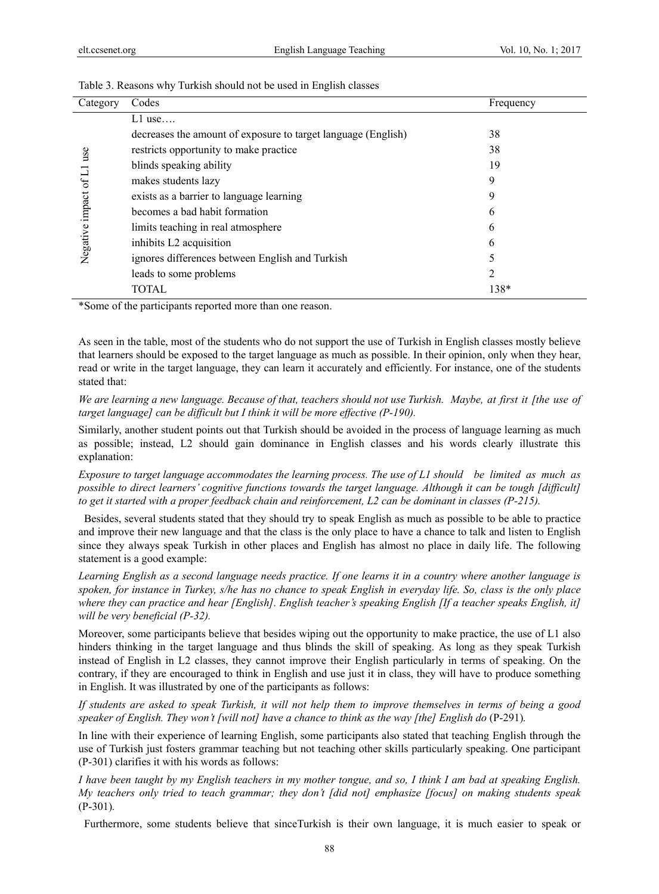| Category                 | Codes                                                         | Frequency |
|--------------------------|---------------------------------------------------------------|-----------|
|                          | $L1$ use                                                      |           |
|                          | decreases the amount of exposure to target language (English) | 38        |
| use                      | restricts opportunity to make practice                        | 38        |
|                          | blinds speaking ability                                       | 19        |
|                          | makes students lazy                                           | 9         |
| impact of L1<br>Negative | exists as a barrier to language learning                      | 9         |
|                          | becomes a bad habit formation                                 | 6         |
|                          | limits teaching in real atmosphere                            | 6         |
|                          | inhibits L2 acquisition                                       | 6         |
|                          | ignores differences between English and Turkish               |           |
|                          | leads to some problems                                        | 2         |
|                          | TOTAL.                                                        | 138*      |
|                          |                                                               |           |

#### Table 3. Reasons why Turkish should not be used in English classes

\*Some of the participants reported more than one reason.

As seen in the table, most of the students who do not support the use of Turkish in English classes mostly believe that learners should be exposed to the target language as much as possible. In their opinion, only when they hear, read or write in the target language, they can learn it accurately and efficiently. For instance, one of the students stated that:

*We are learning a new language. Because of that, teachers should not use Turkish. Maybe, at first it [the use of target language] can be difficult but I think it will be more effective (P-190).* 

Similarly, another student points out that Turkish should be avoided in the process of language learning as much as possible; instead, L2 should gain dominance in English classes and his words clearly illustrate this explanation:

*Exposure to target language accommodates the learning process. The use of L1 should be limited as much as possible to direct learners' cognitive functions towards the target language. Although it can be tough [difficult] to get it started with a proper feedback chain and reinforcement, L2 can be dominant in classes (P-215).* 

 Besides, several students stated that they should try to speak English as much as possible to be able to practice and improve their new language and that the class is the only place to have a chance to talk and listen to English since they always speak Turkish in other places and English has almost no place in daily life. The following statement is a good example:

*Learning English as a second language needs practice. If one learns it in a country where another language is spoken, for instance in Turkey, s/he has no chance to speak English in everyday life. So, class is the only place where they can practice and hear [English]. English teacher's speaking English [If a teacher speaks English, it] will be very beneficial (P-32).* 

Moreover, some participants believe that besides wiping out the opportunity to make practice, the use of L1 also hinders thinking in the target language and thus blinds the skill of speaking. As long as they speak Turkish instead of English in L2 classes, they cannot improve their English particularly in terms of speaking. On the contrary, if they are encouraged to think in English and use just it in class, they will have to produce something in English. It was illustrated by one of the participants as follows:

*If students are asked to speak Turkish, it will not help them to improve themselves in terms of being a good speaker of English. They won't [will not] have a chance to think as the way [the] English do (P-291).* 

In line with their experience of learning English, some participants also stated that teaching English through the use of Turkish just fosters grammar teaching but not teaching other skills particularly speaking. One participant (P-301) clarifies it with his words as follows:

*I have been taught by my English teachers in my mother tongue, and so, I think I am bad at speaking English. My teachers only tried to teach grammar; they don't [did not] emphasize [focus] on making students speak*  (P-301)*.* 

Furthermore, some students believe that sinceTurkish is their own language, it is much easier to speak or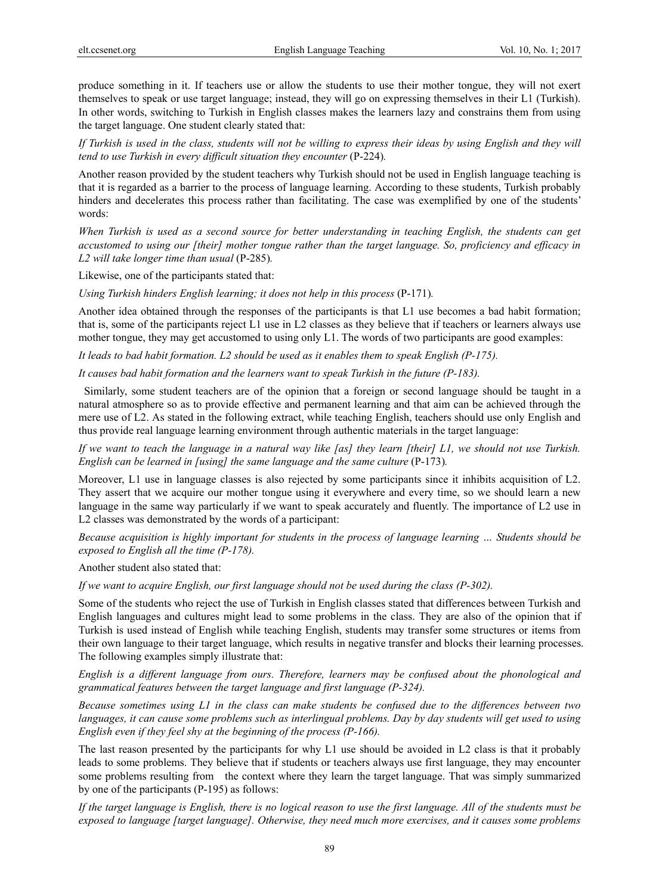produce something in it. If teachers use or allow the students to use their mother tongue, they will not exert themselves to speak or use target language; instead, they will go on expressing themselves in their L1 (Turkish). In other words, switching to Turkish in English classes makes the learners lazy and constrains them from using the target language. One student clearly stated that:

*If Turkish is used in the class, students will not be willing to express their ideas by using English and they will tend to use Turkish in every difficult situation they encounter (P-224).* 

Another reason provided by the student teachers why Turkish should not be used in English language teaching is that it is regarded as a barrier to the process of language learning. According to these students, Turkish probably hinders and decelerates this process rather than facilitating. The case was exemplified by one of the students' words:

*When Turkish is used as a second source for better understanding in teaching English, the students can get accustomed to using our [their] mother tongue rather than the target language. So, proficiency and efficacy in L2 will take longer time than usual* (P-285)*.* 

Likewise, one of the participants stated that:

*Using Turkish hinders English learning; it does not help in this process* (P-171)*.* 

Another idea obtained through the responses of the participants is that L1 use becomes a bad habit formation; that is, some of the participants reject L1 use in L2 classes as they believe that if teachers or learners always use mother tongue, they may get accustomed to using only L1. The words of two participants are good examples:

*It leads to bad habit formation. L2 should be used as it enables them to speak English (P-175).* 

*It causes bad habit formation and the learners want to speak Turkish in the future (P-183).* 

 Similarly, some student teachers are of the opinion that a foreign or second language should be taught in a natural atmosphere so as to provide effective and permanent learning and that aim can be achieved through the mere use of L2. As stated in the following extract, while teaching English, teachers should use only English and thus provide real language learning environment through authentic materials in the target language:

*If we want to teach the language in a natural way like [as] they learn [their] L1, we should not use Turkish. English can be learned in [using] the same language and the same culture* (P-173).

Moreover, L1 use in language classes is also rejected by some participants since it inhibits acquisition of L2. They assert that we acquire our mother tongue using it everywhere and every time, so we should learn a new language in the same way particularly if we want to speak accurately and fluently. The importance of L2 use in L2 classes was demonstrated by the words of a participant:

*Because acquisition is highly important for students in the process of language learning … Students should be exposed to English all the time (P-178).* 

Another student also stated that:

*If we want to acquire English, our first language should not be used during the class (P-302).* 

Some of the students who reject the use of Turkish in English classes stated that differences between Turkish and English languages and cultures might lead to some problems in the class. They are also of the opinion that if Turkish is used instead of English while teaching English, students may transfer some structures or items from their own language to their target language, which results in negative transfer and blocks their learning processes. The following examples simply illustrate that:

*English is a different language from ours. Therefore, learners may be confused about the phonological and grammatical features between the target language and first language (P-324).* 

*Because sometimes using L1 in the class can make students be confused due to the differences between two languages, it can cause some problems such as interlingual problems. Day by day students will get used to using English even if they feel shy at the beginning of the process (P-166).* 

The last reason presented by the participants for why L1 use should be avoided in L2 class is that it probably leads to some problems. They believe that if students or teachers always use first language, they may encounter some problems resulting from the context where they learn the target language. That was simply summarized by one of the participants (P-195) as follows:

*If the target language is English, there is no logical reason to use the first language. All of the students must be exposed to language [target language]. Otherwise, they need much more exercises, and it causes some problems*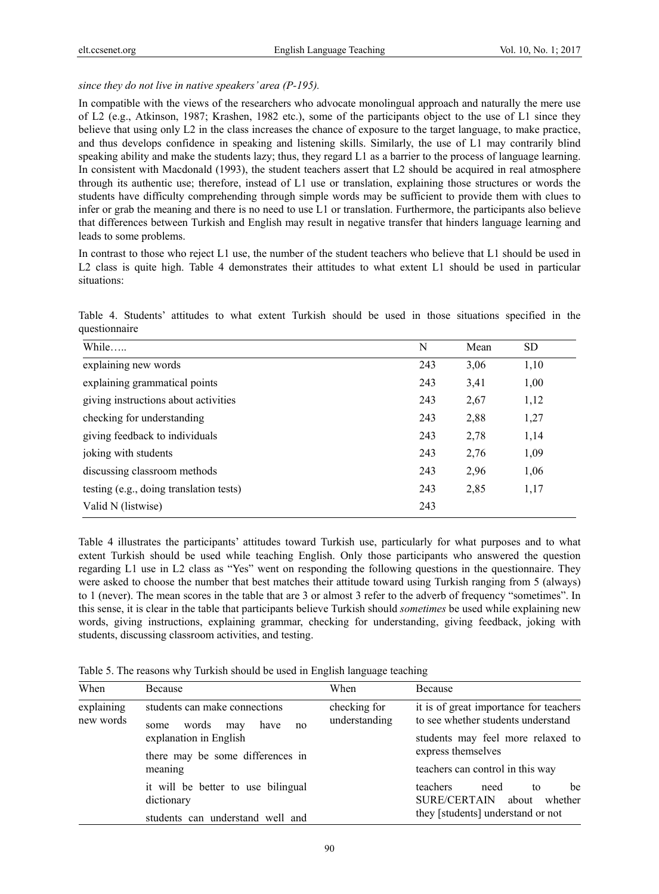## *since they do not live in native speakers' area (P-195).*

In compatible with the views of the researchers who advocate monolingual approach and naturally the mere use of L2 (e.g., Atkinson, 1987; Krashen, 1982 etc.), some of the participants object to the use of L1 since they believe that using only L2 in the class increases the chance of exposure to the target language, to make practice, and thus develops confidence in speaking and listening skills. Similarly, the use of L1 may contrarily blind speaking ability and make the students lazy; thus, they regard L1 as a barrier to the process of language learning. In consistent with Macdonald (1993), the student teachers assert that L2 should be acquired in real atmosphere through its authentic use; therefore, instead of L1 use or translation, explaining those structures or words the students have difficulty comprehending through simple words may be sufficient to provide them with clues to infer or grab the meaning and there is no need to use L1 or translation. Furthermore, the participants also believe that differences between Turkish and English may result in negative transfer that hinders language learning and leads to some problems.

In contrast to those who reject L1 use, the number of the student teachers who believe that L1 should be used in L2 class is quite high. Table 4 demonstrates their attitudes to what extent L1 should be used in particular situations:

Table 4. Students' attitudes to what extent Turkish should be used in those situations specified in the questionnaire

| While                                   | N   | Mean | <b>SD</b> |
|-----------------------------------------|-----|------|-----------|
| explaining new words                    | 243 | 3,06 | 1,10      |
| explaining grammatical points           | 243 | 3,41 | 1,00      |
| giving instructions about activities    | 243 | 2,67 | 1,12      |
| checking for understanding              | 243 | 2,88 | 1,27      |
| giving feedback to individuals          | 243 | 2,78 | 1,14      |
| joking with students                    | 243 | 2,76 | 1,09      |
| discussing classroom methods            | 243 | 2,96 | 1,06      |
| testing (e.g., doing translation tests) | 243 | 2,85 | 1,17      |
| Valid N (listwise)                      | 243 |      |           |

Table 4 illustrates the participants' attitudes toward Turkish use, particularly for what purposes and to what extent Turkish should be used while teaching English. Only those participants who answered the question regarding L1 use in L2 class as "Yes" went on responding the following questions in the questionnaire. They were asked to choose the number that best matches their attitude toward using Turkish ranging from 5 (always) to 1 (never). The mean scores in the table that are 3 or almost 3 refer to the adverb of frequency "sometimes". In this sense, it is clear in the table that participants believe Turkish should *sometimes* be used while explaining new words, giving instructions, explaining grammar, checking for understanding, giving feedback, joking with students, discussing classroom activities, and testing.

Table 5. The reasons why Turkish should be used in English language teaching

| When                    | Because                                                             | When                          | Because                                                                                                      |
|-------------------------|---------------------------------------------------------------------|-------------------------------|--------------------------------------------------------------------------------------------------------------|
| explaining<br>new words | students can make connections<br>words<br>have<br>may<br>some<br>no | checking for<br>understanding | it is of great importance for teachers<br>to see whether students understand                                 |
|                         | explanation in English<br>there may be some differences in          |                               | students may feel more relaxed to<br>express themselves                                                      |
|                         | meaning                                                             |                               | teachers can control in this way                                                                             |
|                         | it will be better to use bilingual<br>dictionary                    |                               | teachers<br>need<br>be<br>to<br><b>SURE/CERTAIN</b><br>about<br>whether<br>they [students] understand or not |
|                         | students can understand well and                                    |                               |                                                                                                              |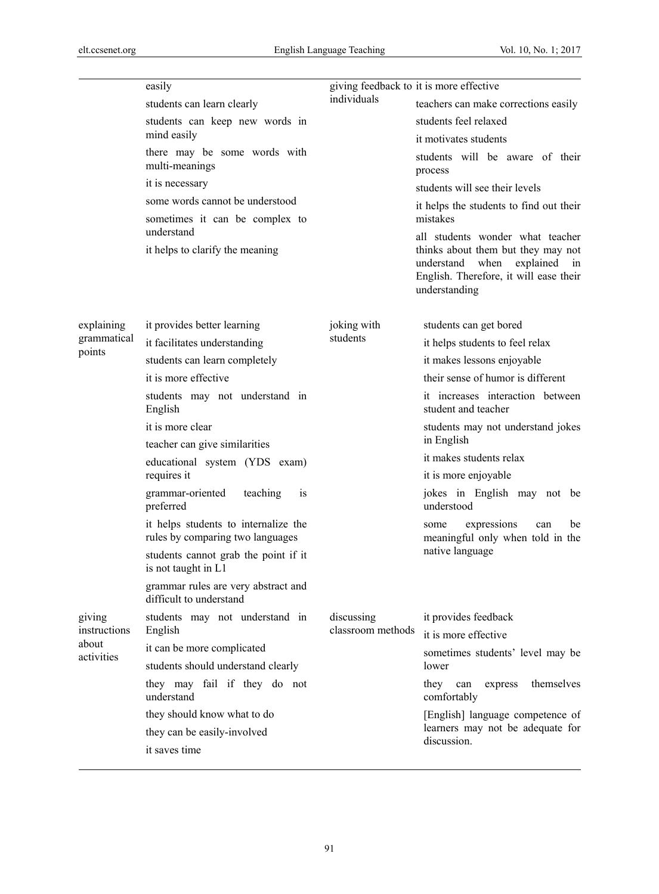|                                               | easily                                                                   | giving feedback to it is more effective |                                                                                                                                     |  |
|-----------------------------------------------|--------------------------------------------------------------------------|-----------------------------------------|-------------------------------------------------------------------------------------------------------------------------------------|--|
|                                               | students can learn clearly                                               | individuals                             | teachers can make corrections easily                                                                                                |  |
|                                               | students can keep new words in                                           |                                         | students feel relaxed                                                                                                               |  |
|                                               | mind easily                                                              |                                         | it motivates students                                                                                                               |  |
|                                               | there may be some words with<br>multi-meanings                           |                                         | students will be aware of their<br>process                                                                                          |  |
|                                               | it is necessary                                                          |                                         | students will see their levels                                                                                                      |  |
|                                               | some words cannot be understood                                          |                                         | it helps the students to find out their                                                                                             |  |
|                                               | sometimes it can be complex to<br>understand                             |                                         | mistakes<br>all students wonder what teacher                                                                                        |  |
|                                               | it helps to clarify the meaning                                          |                                         | thinks about them but they may not<br>understand<br>when<br>explained in<br>English. Therefore, it will ease their<br>understanding |  |
| explaining                                    | it provides better learning                                              | joking with                             | students can get bored                                                                                                              |  |
| grammatical                                   | it facilitates understanding                                             | students                                | it helps students to feel relax                                                                                                     |  |
| points                                        | students can learn completely                                            |                                         | it makes lessons enjoyable                                                                                                          |  |
|                                               | it is more effective                                                     |                                         | their sense of humor is different                                                                                                   |  |
|                                               | students may not understand in<br>English                                |                                         | it increases interaction between<br>student and teacher                                                                             |  |
|                                               | it is more clear                                                         |                                         | students may not understand jokes<br>in English                                                                                     |  |
|                                               | teacher can give similarities                                            |                                         | it makes students relax                                                                                                             |  |
|                                               | educational system (YDS exam)<br>requires it                             |                                         | it is more enjoyable                                                                                                                |  |
|                                               | grammar-oriented<br>teaching<br>1S<br>preferred                          |                                         | jokes in English may not be<br>understood                                                                                           |  |
|                                               | it helps students to internalize the<br>rules by comparing two languages |                                         | expressions<br>can<br>be<br>some<br>meaningful only when told in the                                                                |  |
|                                               | students cannot grab the point if it<br>is not taught in L1              |                                         | native language                                                                                                                     |  |
|                                               | grammar rules are very abstract and<br>difficult to understand           |                                         |                                                                                                                                     |  |
| giving<br>instructions<br>about<br>activities | students may not understand in                                           | discussing<br>classroom methods         | it provides feedback                                                                                                                |  |
|                                               | English                                                                  |                                         | it is more effective                                                                                                                |  |
|                                               | it can be more complicated                                               |                                         | sometimes students' level may be                                                                                                    |  |
|                                               | students should understand clearly                                       |                                         | lower                                                                                                                               |  |
|                                               | they may fail if they do not<br>understand                               |                                         | themselves<br>they<br>can<br>express<br>comfortably                                                                                 |  |
|                                               | they should know what to do                                              |                                         | [English] language competence of                                                                                                    |  |
|                                               | they can be easily-involved                                              |                                         | learners may not be adequate for<br>discussion.                                                                                     |  |
|                                               | it saves time                                                            |                                         |                                                                                                                                     |  |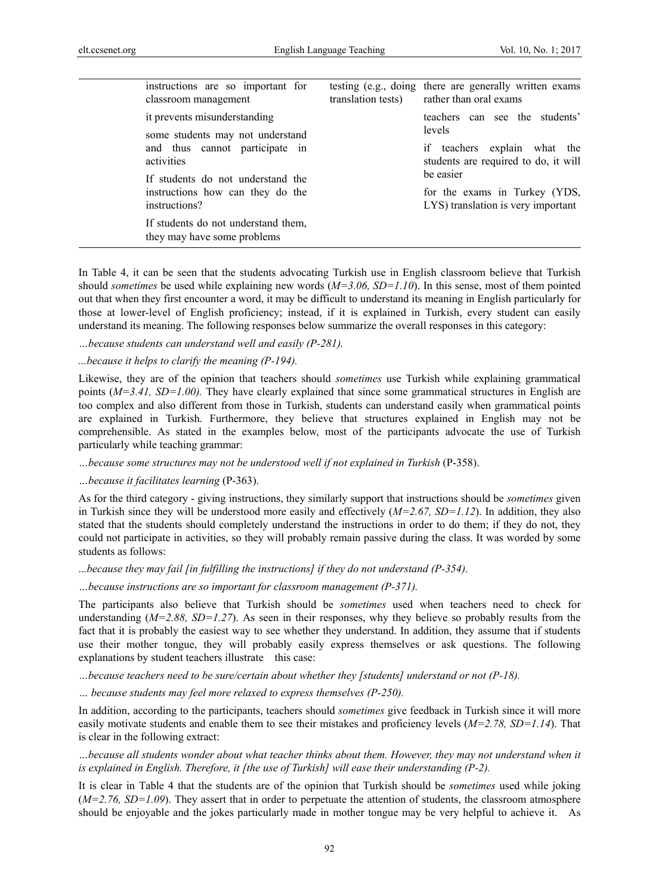| instructions are so important for<br>classroom management                              | testing (e.g., doing there are generally written exams<br>translation tests) rather than oral exams |
|----------------------------------------------------------------------------------------|-----------------------------------------------------------------------------------------------------|
| it prevents misunderstanding<br>some students may not understand                       | teachers can see the students'<br>levels                                                            |
| and thus cannot participate in<br>activities                                           | if teachers explain what the<br>students are required to do, it will                                |
| If students do not understand the<br>instructions how can they do the<br>instructions? | be easier<br>for the exams in Turkey (YDS,<br>LYS) translation is very important                    |
| If students do not understand them,<br>they may have some problems                     |                                                                                                     |

In Table 4, it can be seen that the students advocating Turkish use in English classroom believe that Turkish should *sometimes* be used while explaining new words (*M=3.06, SD=1.10*). In this sense, most of them pointed out that when they first encounter a word, it may be difficult to understand its meaning in English particularly for those at lower-level of English proficiency; instead, if it is explained in Turkish, every student can easily understand its meaning. The following responses below summarize the overall responses in this category:

*…because students can understand well and easily (P-281).* 

*...because it helps to clarify the meaning (P-194).* 

Likewise, they are of the opinion that teachers should *sometimes* use Turkish while explaining grammatical points (*M=3.41, SD=1.00).* They have clearly explained that since some grammatical structures in English are too complex and also different from those in Turkish, students can understand easily when grammatical points are explained in Turkish. Furthermore, they believe that structures explained in English may not be comprehensible. As stated in the examples below, most of the participants advocate the use of Turkish particularly while teaching grammar:

*…because some structures may not be understood well if not explained in Turkish* (P-358).

*…because it facilitates learning* (P-363).

As for the third category - giving instructions, they similarly support that instructions should be *sometimes* given in Turkish since they will be understood more easily and effectively (*M=2.67, SD=1.12*). In addition, they also stated that the students should completely understand the instructions in order to do them; if they do not, they could not participate in activities, so they will probably remain passive during the class. It was worded by some students as follows:

..*.because they may fail [in fulfilling the instructions] if they do not understand (P-354).* 

*…because instructions are so important for classroom management (P-371).* 

The participants also believe that Turkish should be *sometimes* used when teachers need to check for understanding ( $M=2.88$ ,  $SD=1.27$ ). As seen in their responses, why they believe so probably results from the fact that it is probably the easiest way to see whether they understand. In addition, they assume that if students use their mother tongue, they will probably easily express themselves or ask questions. The following explanations by student teachers illustrate this case:

*…because teachers need to be sure/certain about whether they [students] understand or not (P-18).* 

*… because students may feel more relaxed to express themselves (P-250).* 

In addition, according to the participants, teachers should *sometimes* give feedback in Turkish since it will more easily motivate students and enable them to see their mistakes and proficiency levels (*M=2.78, SD=1.14*). That is clear in the following extract:

*…because all students wonder about what teacher thinks about them. However, they may not understand when it is explained in English. Therefore, it [the use of Turkish] will ease their understanding (P-2).* 

It is clear in Table 4 that the students are of the opinion that Turkish should be *sometimes* used while joking (*M=2.76, SD=1.09*). They assert that in order to perpetuate the attention of students, the classroom atmosphere should be enjoyable and the jokes particularly made in mother tongue may be very helpful to achieve it. As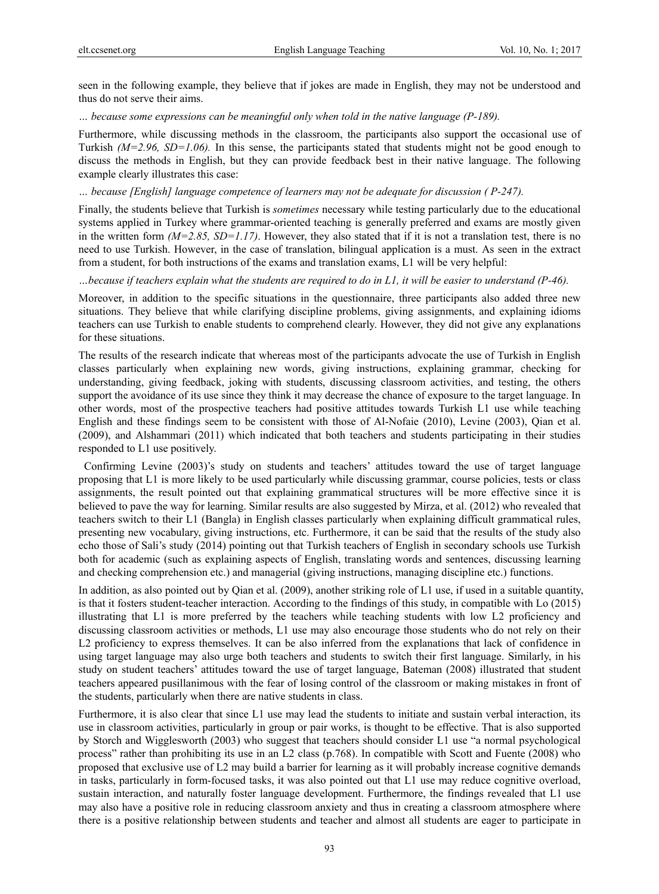seen in the following example, they believe that if jokes are made in English, they may not be understood and thus do not serve their aims.

*… because some expressions can be meaningful only when told in the native language (P-189).* 

Furthermore, while discussing methods in the classroom, the participants also support the occasional use of Turkish *(M=2.96, SD=1.06).* In this sense, the participants stated that students might not be good enough to discuss the methods in English, but they can provide feedback best in their native language. The following example clearly illustrates this case:

#### *… because [English] language competence of learners may not be adequate for discussion ( P-247).*

Finally, the students believe that Turkish is *sometimes* necessary while testing particularly due to the educational systems applied in Turkey where grammar-oriented teaching is generally preferred and exams are mostly given in the written form  $(M=2.85, SD=1.17)$ . However, they also stated that if it is not a translation test, there is no need to use Turkish. However, in the case of translation, bilingual application is a must. As seen in the extract from a student, for both instructions of the exams and translation exams, L1 will be very helpful:

*…because if teachers explain what the students are required to do in L1, it will be easier to understand (P-46).* 

Moreover, in addition to the specific situations in the questionnaire, three participants also added three new situations. They believe that while clarifying discipline problems, giving assignments, and explaining idioms teachers can use Turkish to enable students to comprehend clearly. However, they did not give any explanations for these situations.

The results of the research indicate that whereas most of the participants advocate the use of Turkish in English classes particularly when explaining new words, giving instructions, explaining grammar, checking for understanding, giving feedback, joking with students, discussing classroom activities, and testing, the others support the avoidance of its use since they think it may decrease the chance of exposure to the target language. In other words, most of the prospective teachers had positive attitudes towards Turkish L1 use while teaching English and these findings seem to be consistent with those of Al-Nofaie (2010), Levine (2003), Qian et al. (2009), and Alshammari (2011) which indicated that both teachers and students participating in their studies responded to L1 use positively.

 Confirming Levine (2003)'s study on students and teachers' attitudes toward the use of target language proposing that L1 is more likely to be used particularly while discussing grammar, course policies, tests or class assignments, the result pointed out that explaining grammatical structures will be more effective since it is believed to pave the way for learning. Similar results are also suggested by Mirza, et al. (2012) who revealed that teachers switch to their L1 (Bangla) in English classes particularly when explaining difficult grammatical rules, presenting new vocabulary, giving instructions, etc. Furthermore, it can be said that the results of the study also echo those of Sali's study (2014) pointing out that Turkish teachers of English in secondary schools use Turkish both for academic (such as explaining aspects of English, translating words and sentences, discussing learning and checking comprehension etc.) and managerial (giving instructions, managing discipline etc.) functions.

In addition, as also pointed out by Qian et al. (2009), another striking role of L1 use, if used in a suitable quantity, is that it fosters student-teacher interaction. According to the findings of this study, in compatible with Lo (2015) illustrating that L1 is more preferred by the teachers while teaching students with low L2 proficiency and discussing classroom activities or methods, L1 use may also encourage those students who do not rely on their L2 proficiency to express themselves. It can be also inferred from the explanations that lack of confidence in using target language may also urge both teachers and students to switch their first language. Similarly, in his study on student teachers' attitudes toward the use of target language, Bateman (2008) illustrated that student teachers appeared pusillanimous with the fear of losing control of the classroom or making mistakes in front of the students, particularly when there are native students in class.

Furthermore, it is also clear that since L1 use may lead the students to initiate and sustain verbal interaction, its use in classroom activities, particularly in group or pair works, is thought to be effective. That is also supported by Storch and Wigglesworth (2003) who suggest that teachers should consider L1 use "a normal psychological process" rather than prohibiting its use in an L2 class (p.768). In compatible with Scott and Fuente (2008) who proposed that exclusive use of L2 may build a barrier for learning as it will probably increase cognitive demands in tasks, particularly in form-focused tasks, it was also pointed out that L1 use may reduce cognitive overload, sustain interaction, and naturally foster language development. Furthermore, the findings revealed that L1 use may also have a positive role in reducing classroom anxiety and thus in creating a classroom atmosphere where there is a positive relationship between students and teacher and almost all students are eager to participate in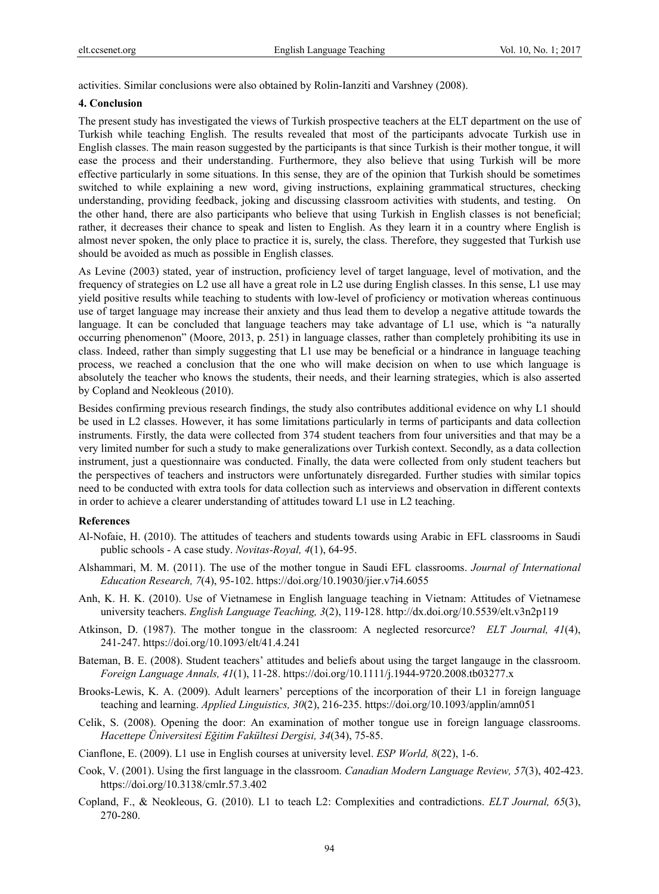activities. Similar conclusions were also obtained by Rolin-Ianziti and Varshney (2008).

#### **4. Conclusion**

The present study has investigated the views of Turkish prospective teachers at the ELT department on the use of Turkish while teaching English. The results revealed that most of the participants advocate Turkish use in English classes. The main reason suggested by the participants is that since Turkish is their mother tongue, it will ease the process and their understanding. Furthermore, they also believe that using Turkish will be more effective particularly in some situations. In this sense, they are of the opinion that Turkish should be sometimes switched to while explaining a new word, giving instructions, explaining grammatical structures, checking understanding, providing feedback, joking and discussing classroom activities with students, and testing. On the other hand, there are also participants who believe that using Turkish in English classes is not beneficial; rather, it decreases their chance to speak and listen to English. As they learn it in a country where English is almost never spoken, the only place to practice it is, surely, the class. Therefore, they suggested that Turkish use should be avoided as much as possible in English classes.

As Levine (2003) stated, year of instruction, proficiency level of target language, level of motivation, and the frequency of strategies on L2 use all have a great role in L2 use during English classes. In this sense, L1 use may yield positive results while teaching to students with low-level of proficiency or motivation whereas continuous use of target language may increase their anxiety and thus lead them to develop a negative attitude towards the language. It can be concluded that language teachers may take advantage of L1 use, which is "a naturally occurring phenomenon" (Moore, 2013, p. 251) in language classes, rather than completely prohibiting its use in class. Indeed, rather than simply suggesting that L1 use may be beneficial or a hindrance in language teaching process, we reached a conclusion that the one who will make decision on when to use which language is absolutely the teacher who knows the students, their needs, and their learning strategies, which is also asserted by Copland and Neokleous (2010).

Besides confirming previous research findings, the study also contributes additional evidence on why L1 should be used in L2 classes. However, it has some limitations particularly in terms of participants and data collection instruments. Firstly, the data were collected from 374 student teachers from four universities and that may be a very limited number for such a study to make generalizations over Turkish context. Secondly, as a data collection instrument, just a questionnaire was conducted. Finally, the data were collected from only student teachers but the perspectives of teachers and instructors were unfortunately disregarded. Further studies with similar topics need to be conducted with extra tools for data collection such as interviews and observation in different contexts in order to achieve a clearer understanding of attitudes toward L1 use in L2 teaching.

#### **References**

- Al-Nofaie, H. (2010). The attitudes of teachers and students towards using Arabic in EFL classrooms in Saudi public schools - A case study. *Novitas-Royal, 4*(1), 64-95.
- Alshammari, M. M. (2011). The use of the mother tongue in Saudi EFL classrooms. *Journal of International Education Research, 7*(4), 95-102. https://doi.org/10.19030/jier.v7i4.6055
- Anh, K. H. K. (2010). Use of Vietnamese in English language teaching in Vietnam: Attitudes of Vietnamese university teachers. *English Language Teaching, 3*(2), 119-128. http://dx.doi.org/10.5539/elt.v3n2p119
- Atkinson, D. (1987). The mother tongue in the classroom: A neglected resorcurce? *ELT Journal, 41*(4), 241-247. https://doi.org/10.1093/elt/41.4.241
- Bateman, B. E. (2008). Student teachers' attitudes and beliefs about using the target langauge in the classroom. *Foreign Language Annals, 41*(1), 11-28. https://doi.org/10.1111/j.1944-9720.2008.tb03277.x
- Brooks-Lewis, K. A. (2009). Adult learners' perceptions of the incorporation of their L1 in foreign language teaching and learning. *Applied Linguistics, 30*(2), 216-235. https://doi.org/10.1093/applin/amn051
- Celik, S. (2008). Opening the door: An examination of mother tongue use in foreign language classrooms. *Hacettepe Üniversitesi Eğitim Fakültesi Dergisi, 34*(34), 75-85.
- Cianflone, E. (2009). L1 use in English courses at university level. *ESP World, 8*(22), 1-6.
- Cook, V. (2001). Using the first language in the classroom. *Canadian Modern Language Review, 57*(3), 402-423. https://doi.org/10.3138/cmlr.57.3.402
- Copland, F., & Neokleous, G. (2010). L1 to teach L2: Complexities and contradictions. *ELT Journal, 65*(3), 270-280.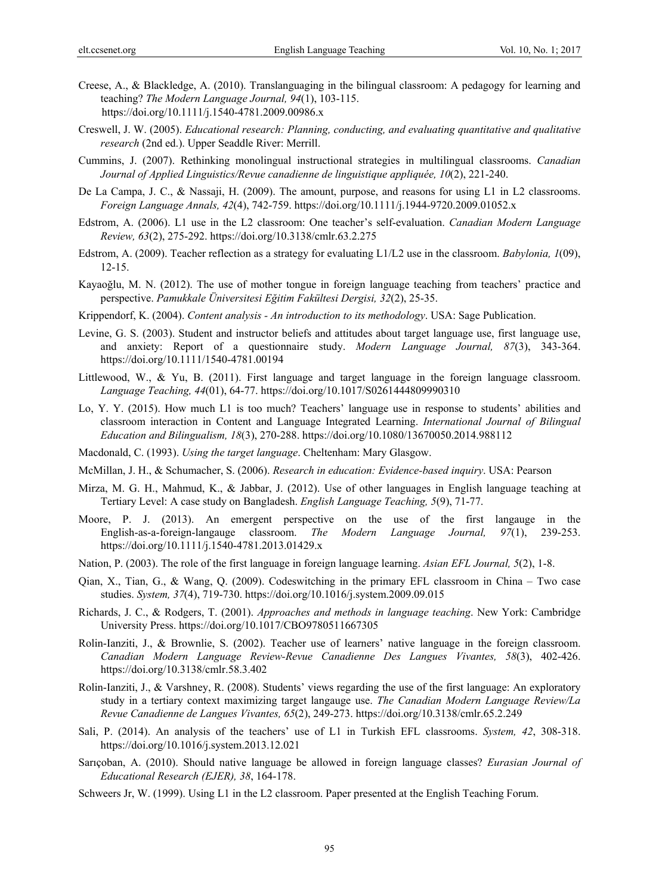- Creese, A., & Blackledge, A. (2010). Translanguaging in the bilingual classroom: A pedagogy for learning and teaching? *The Modern Language Journal, 94*(1), 103-115. https://doi.org/10.1111/j.1540-4781.2009.00986.x
- Creswell, J. W. (2005). *Educational research: Planning, conducting, and evaluating quantitative and qualitative research* (2nd ed.). Upper Seaddle River: Merrill.
- Cummins, J. (2007). Rethinking monolingual instructional strategies in multilingual classrooms. *Canadian Journal of Applied Linguistics/Revue canadienne de linguistique appliquée, 10*(2), 221-240.
- De La Campa, J. C., & Nassaji, H. (2009). The amount, purpose, and reasons for using L1 in L2 classrooms. *Foreign Language Annals, 42*(4), 742-759. https://doi.org/10.1111/j.1944-9720.2009.01052.x
- Edstrom, A. (2006). L1 use in the L2 classroom: One teacher's self-evaluation. *Canadian Modern Language Review, 63*(2), 275-292. https://doi.org/10.3138/cmlr.63.2.275
- Edstrom, A. (2009). Teacher reflection as a strategy for evaluating L1/L2 use in the classroom. *Babylonia, 1*(09), 12-15.
- Kayaoğlu, M. N. (2012). The use of mother tongue in foreign language teaching from teachers' practice and perspective. *Pamukkale Üniversitesi Eğitim Fakültesi Dergisi, 32*(2), 25-35.
- Krippendorf, K. (2004). *Content analysis An introduction to its methodology*. USA: Sage Publication.
- Levine, G. S. (2003). Student and instructor beliefs and attitudes about target language use, first language use, and anxiety: Report of a questionnaire study. *Modern Language Journal, 87*(3), 343-364. https://doi.org/10.1111/1540-4781.00194
- Littlewood, W., & Yu, B. (2011). First language and target language in the foreign language classroom. *Language Teaching, 44*(01), 64-77. https://doi.org/10.1017/S0261444809990310
- Lo, Y. Y. (2015). How much L1 is too much? Teachers' language use in response to students' abilities and classroom interaction in Content and Language Integrated Learning. *International Journal of Bilingual Education and Bilingualism, 18*(3), 270-288. https://doi.org/10.1080/13670050.2014.988112
- Macdonald, C. (1993). *Using the target language*. Cheltenham: Mary Glasgow.
- McMillan, J. H., & Schumacher, S. (2006). *Research in education: Evidence-based inquiry*. USA: Pearson
- Mirza, M. G. H., Mahmud, K., & Jabbar, J. (2012). Use of other languages in English language teaching at Tertiary Level: A case study on Bangladesh. *English Language Teaching, 5*(9), 71-77.
- Moore, P. J. (2013). An emergent perspective on the use of the first langauge in the English-as-a-foreign-langauge classroom. *The Modern Language Journal, 97*(1), 239-253. https://doi.org/10.1111/j.1540-4781.2013.01429.x
- Nation, P. (2003). The role of the first language in foreign language learning. *Asian EFL Journal, 5*(2), 1-8.
- Qian, X., Tian, G., & Wang, Q. (2009). Codeswitching in the primary EFL classroom in China Two case studies. *System, 37*(4), 719-730. https://doi.org/10.1016/j.system.2009.09.015
- Richards, J. C., & Rodgers, T. (2001). *Approaches and methods in language teaching*. New York: Cambridge University Press. https://doi.org/10.1017/CBO9780511667305
- Rolin-Ianziti, J., & Brownlie, S. (2002). Teacher use of learners' native language in the foreign classroom. *Canadian Modern Language Review-Revue Canadienne Des Langues Vivantes, 58*(3), 402-426. https://doi.org/10.3138/cmlr.58.3.402
- Rolin-Ianziti, J., & Varshney, R. (2008). Students' views regarding the use of the first language: An exploratory study in a tertiary context maximizing target langauge use. *The Canadian Modern Language Review/La Revue Canadienne de Langues Vivantes, 65*(2), 249-273. https://doi.org/10.3138/cmlr.65.2.249
- Sali, P. (2014). An analysis of the teachers' use of L1 in Turkish EFL classrooms. *System, 42*, 308-318. https://doi.org/10.1016/j.system.2013.12.021
- Sarıçoban, A. (2010). Should native language be allowed in foreign language classes? *Eurasian Journal of Educational Research (EJER), 38*, 164-178.
- Schweers Jr, W. (1999). Using L1 in the L2 classroom. Paper presented at the English Teaching Forum.